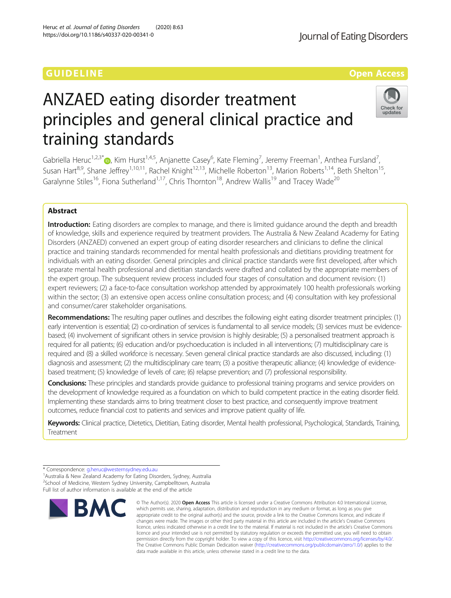# **GUIDELINE** CONTROL CONTROL CONTROL CONTROL CONTROL CONTROL CONTROL CONTROL CONTROL CONTROL CONTROL CONTROL CONTROL CONTROL CONTROL CONTROL CONTROL CONTROL CONTROL CONTROL CONTROL CONTROL CONTROL CONTROL CONTROL CONTROL CO

# ANZAED eating disorder treatment principles and general clinical practice and training standards

Gabriella Heruc<sup>1,2,3[\\*](http://orcid.org/0000-0002-6257-6828)</sup> $\bullet$ , Kim Hurst<sup>1,4,5</sup>, Anjanette Casey<sup>6</sup>, Kate Fleming<sup>7</sup>, Jeremy Freeman<sup>1</sup>, Anthea Fursland<sup>7</sup> , Susan Hart<sup>8,9</sup>, Shane Jeffrey<sup>1,10,11</sup>, Rachel Knight<sup>12,13</sup>, Michelle Roberton<sup>13</sup>, Marion Roberts<sup>1,14</sup>, Beth Shelton<sup>15</sup>, Garalynne Stiles<sup>16</sup>, Fiona Sutherland<sup>1,17</sup>, Chris Thornton<sup>18</sup>, Andrew Wallis<sup>19</sup> and Tracey Wade<sup>20</sup>

# Abstract

Introduction: Eating disorders are complex to manage, and there is limited guidance around the depth and breadth of knowledge, skills and experience required by treatment providers. The Australia & New Zealand Academy for Eating Disorders (ANZAED) convened an expert group of eating disorder researchers and clinicians to define the clinical practice and training standards recommended for mental health professionals and dietitians providing treatment for individuals with an eating disorder. General principles and clinical practice standards were first developed, after which separate mental health professional and dietitian standards were drafted and collated by the appropriate members of the expert group. The subsequent review process included four stages of consultation and document revision: (1) expert reviewers; (2) a face-to-face consultation workshop attended by approximately 100 health professionals working within the sector; (3) an extensive open access online consultation process; and (4) consultation with key professional and consumer/carer stakeholder organisations.

Recommendations: The resulting paper outlines and describes the following eight eating disorder treatment principles: (1) early intervention is essential; (2) co-ordination of services is fundamental to all service models; (3) services must be evidencebased; (4) involvement of significant others in service provision is highly desirable; (5) a personalised treatment approach is required for all patients; (6) education and/or psychoeducation is included in all interventions; (7) multidisciplinary care is required and (8) a skilled workforce is necessary. Seven general clinical practice standards are also discussed, including: (1) diagnosis and assessment; (2) the multidisciplinary care team; (3) a positive therapeutic alliance; (4) knowledge of evidencebased treatment; (5) knowledge of levels of care; (6) relapse prevention; and (7) professional responsibility.

Conclusions: These principles and standards provide quidance to professional training programs and service providers on the development of knowledge required as a foundation on which to build competent practice in the eating disorder field. Implementing these standards aims to bring treatment closer to best practice, and consequently improve treatment outcomes, reduce financial cost to patients and services and improve patient quality of life.

Keywords: Clinical practice, Dietetics, Dietitian, Eating disorder, Mental health professional, Psychological, Standards, Training, **Treatment** 

**BMC** 

© The Author(s), 2020 **Open Access** This article is licensed under a Creative Commons Attribution 4.0 International License, which permits use, sharing, adaptation, distribution and reproduction in any medium or format, as long as you give



<sup>\*</sup> Correspondence: [g.heruc@westernsydney.edu.au](mailto:g.heruc@westernsydney.edu.au) <sup>1</sup>

<sup>&</sup>lt;sup>1</sup> Australia & New Zealand Academy for Eating Disorders, Sydney, Australia 2 School of Medicine, Western Sydney University, Campbelltown, Australia Full list of author information is available at the end of the article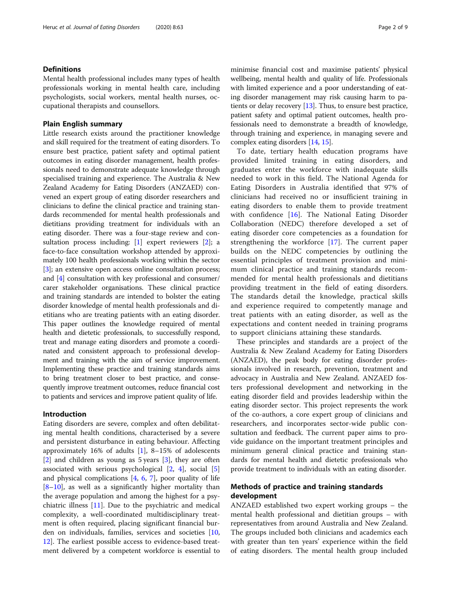#### **Definitions**

Mental health professional includes many types of health professionals working in mental health care, including psychologists, social workers, mental health nurses, occupational therapists and counsellors.

#### Plain English summary

Little research exists around the practitioner knowledge and skill required for the treatment of eating disorders. To ensure best practice, patient safety and optimal patient outcomes in eating disorder management, health professionals need to demonstrate adequate knowledge through specialised training and experience. The Australia & New Zealand Academy for Eating Disorders (ANZAED) convened an expert group of eating disorder researchers and clinicians to define the clinical practice and training standards recommended for mental health professionals and dietitians providing treatment for individuals with an eating disorder. There was a four-stage review and consultation process including: [\[1](#page-7-0)] expert reviewers [[2](#page-7-0)]; a face-to-face consultation workshop attended by approximately 100 health professionals working within the sector [[3\]](#page-7-0); an extensive open access online consultation process; and [[4](#page-7-0)] consultation with key professional and consumer/ carer stakeholder organisations. These clinical practice and training standards are intended to bolster the eating disorder knowledge of mental health professionals and dietitians who are treating patients with an eating disorder. This paper outlines the knowledge required of mental health and dietetic professionals, to successfully respond, treat and manage eating disorders and promote a coordinated and consistent approach to professional development and training with the aim of service improvement. Implementing these practice and training standards aims to bring treatment closer to best practice, and consequently improve treatment outcomes, reduce financial cost to patients and services and improve patient quality of life.

#### Introduction

Eating disorders are severe, complex and often debilitating mental health conditions, characterised by a severe and persistent disturbance in eating behaviour. Affecting approximately 16% of adults [[1\]](#page-7-0), 8–15% of adolescents [[2\]](#page-7-0) and children as young as 5 years [\[3](#page-7-0)], they are often associated with serious psychological  $[2, 4]$  $[2, 4]$  $[2, 4]$ , social  $[5]$  $[5]$ and physical complications  $[4, 6, 7]$  $[4, 6, 7]$  $[4, 6, 7]$  $[4, 6, 7]$  $[4, 6, 7]$  $[4, 6, 7]$ , poor quality of life [[8](#page-7-0)–[10\]](#page-7-0), as well as a significantly higher mortality than the average population and among the highest for a psychiatric illness [\[11](#page-7-0)]. Due to the psychiatric and medical complexity, a well-coordinated multidisciplinary treatment is often required, placing significant financial burden on individuals, families, services and societies [[10](#page-7-0), [12\]](#page-7-0). The earliest possible access to evidence-based treatment delivered by a competent workforce is essential to minimise financial cost and maximise patients' physical wellbeing, mental health and quality of life. Professionals with limited experience and a poor understanding of eating disorder management may risk causing harm to patients or delay recovery [\[13](#page-7-0)]. Thus, to ensure best practice, patient safety and optimal patient outcomes, health professionals need to demonstrate a breadth of knowledge, through training and experience, in managing severe and complex eating disorders [[14](#page-7-0), [15](#page-7-0)].

To date, tertiary health education programs have provided limited training in eating disorders, and graduates enter the workforce with inadequate skills needed to work in this field. The National Agenda for Eating Disorders in Australia identified that 97% of clinicians had received no or insufficient training in eating disorders to enable them to provide treatment with confidence [[16\]](#page-7-0). The National Eating Disorder Collaboration (NEDC) therefore developed a set of eating disorder core competencies as a foundation for strengthening the workforce [\[17](#page-7-0)]. The current paper builds on the NEDC competencies by outlining the essential principles of treatment provision and minimum clinical practice and training standards recommended for mental health professionals and dietitians providing treatment in the field of eating disorders. The standards detail the knowledge, practical skills and experience required to competently manage and treat patients with an eating disorder, as well as the expectations and content needed in training programs to support clinicians attaining these standards.

These principles and standards are a project of the Australia & New Zealand Academy for Eating Disorders (ANZAED), the peak body for eating disorder professionals involved in research, prevention, treatment and advocacy in Australia and New Zealand. ANZAED fosters professional development and networking in the eating disorder field and provides leadership within the eating disorder sector. This project represents the work of the co-authors, a core expert group of clinicians and researchers, and incorporates sector-wide public consultation and feedback. The current paper aims to provide guidance on the important treatment principles and minimum general clinical practice and training standards for mental health and dietetic professionals who provide treatment to individuals with an eating disorder.

## Methods of practice and training standards development

ANZAED established two expert working groups – the mental health professional and dietitian groups – with representatives from around Australia and New Zealand. The groups included both clinicians and academics each with greater than ten years' experience within the field of eating disorders. The mental health group included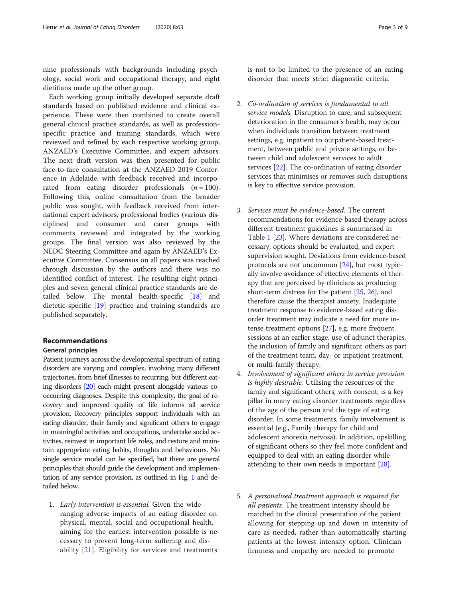nine professionals with backgrounds including psychology, social work and occupational therapy, and eight dietitians made up the other group.

Each working group initially developed separate draft standards based on published evidence and clinical experience. These were then combined to create overall general clinical practice standards, as well as professionspecific practice and training standards, which were reviewed and refined by each respective working group, ANZAED's Executive Committee, and expert advisors. The next draft version was then presented for public face-to-face consultation at the ANZAED 2019 Conference in Adelaide, with feedback received and incorporated from eating disorder professionals  $(n = 100)$ . Following this, online consultation from the broader public was sought, with feedback received from international expert advisors, professional bodies (various disciplines) and consumer and carer groups with comments reviewed and integrated by the working groups. The final version was also reviewed by the NEDC Steering Committee and again by ANZAED's Executive Committee. Consensus on all papers was reached through discussion by the authors and there was no identified conflict of interest. The resulting eight principles and seven general clinical practice standards are detailed below. The mental health-specific [\[18\]](#page-7-0) and dietetic-specific [\[19](#page-7-0)] practice and training standards are published separately.

#### Recommendations

#### General principles

Patient journeys across the developmental spectrum of eating disorders are varying and complex, involving many different trajectories, from brief illnesses to recurring, but different eating disorders [\[20\]](#page-7-0) each might present alongside various cooccurring diagnoses. Despite this complexity, the goal of recovery and improved quality of life informs all service provision. Recovery principles support individuals with an eating disorder, their family and significant others to engage in meaningful activities and occupations, undertake social activities, reinvest in important life roles, and restore and maintain appropriate eating habits, thoughts and behaviours. No single service model can be specified, but there are general principles that should guide the development and implementation of any service provision, as outlined in Fig. [1](#page-3-0) and detailed below.

1. Early intervention is essential. Given the wideranging adverse impacts of an eating disorder on physical, mental, social and occupational health, aiming for the earliest intervention possible is necessary to prevent long-term suffering and disability  $[21]$  $[21]$ . Eligibility for services and treatments

is not to be limited to the presence of an eating disorder that meets strict diagnostic criteria.

- 2. Co-ordination of services is fundamental to all service models. Disruption to care, and subsequent deterioration in the consumer's health, may occur when individuals transition between treatment settings, e.g. inpatient to outpatient-based treatment, between public and private settings, or between child and adolescent services to adult services [\[22](#page-7-0)]. The co-ordination of eating disorder services that minimises or removes such disruptions is key to effective service provision.
- 3. Services must be evidence-based. The current recommendations for evidence-based therapy across different treatment guidelines is summarised in Table [1](#page-4-0) [[23](#page-7-0)]. Where deviations are considered necessary, options should be evaluated, and expert supervision sought. Deviations from evidence-based protocols are not uncommon [[24\]](#page-7-0), but most typically involve avoidance of effective elements of therapy that are perceived by clinicians as producing short-term distress for the patient [[25](#page-7-0), [26\]](#page-7-0), and therefore cause the therapist anxiety. Inadequate treatment response to evidence-based eating disorder treatment may indicate a need for more intense treatment options [\[27\]](#page-7-0), e.g. more frequent sessions at an earlier stage, use of adjunct therapies, the inclusion of family and significant others as part of the treatment team, day- or inpatient treatment, or multi-family therapy.
- 4. Involvement of significant others in service provision is highly desirable. Utilising the resources of the family and significant others, with consent, is a key pillar in many eating disorder treatments regardless of the age of the person and the type of eating disorder. In some treatments, family involvement is essential (e.g., Family therapy for child and adolescent anorexia nervosa). In addition, upskilling of significant others so they feel more confident and equipped to deal with an eating disorder while attending to their own needs is important [\[28\]](#page-7-0).
- 5. A personalised treatment approach is required for all patients. The treatment intensity should be matched to the clinical presentation of the patient allowing for stepping up and down in intensity of care as needed, rather than automatically starting patients at the lowest intensity option. Clinician firmness and empathy are needed to promote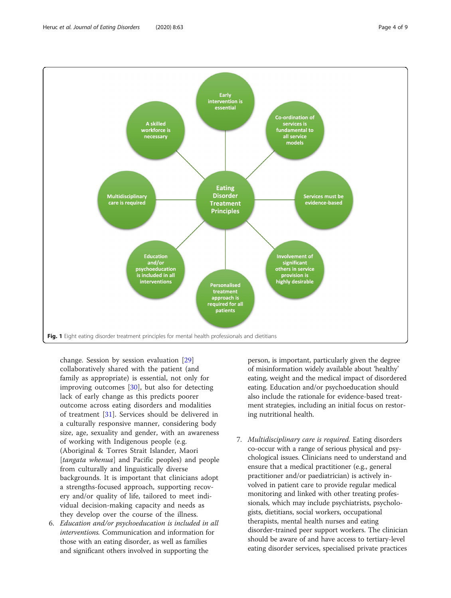<span id="page-3-0"></span>

change. Session by session evaluation [\[29](#page-7-0)] collaboratively shared with the patient (and family as appropriate) is essential, not only for improving outcomes [[30\]](#page-7-0), but also for detecting lack of early change as this predicts poorer outcome across eating disorders and modalities of treatment [[31](#page-7-0)]. Services should be delivered in a culturally responsive manner, considering body size, age, sexuality and gender, with an awareness of working with Indigenous people (e.g. (Aboriginal & Torres Strait Islander, Maori [tangata whenua] and Pacific peoples) and people from culturally and linguistically diverse backgrounds. It is important that clinicians adopt a strengths-focused approach, supporting recovery and/or quality of life, tailored to meet individual decision-making capacity and needs as they develop over the course of the illness.

6. Education and/or psychoeducation is included in all interventions. Communication and information for those with an eating disorder, as well as families and significant others involved in supporting the

person, is important, particularly given the degree of misinformation widely available about 'healthy' eating, weight and the medical impact of disordered eating. Education and/or psychoeducation should also include the rationale for evidence-based treatment strategies, including an initial focus on restoring nutritional health.

7. Multidisciplinary care is required. Eating disorders co-occur with a range of serious physical and psychological issues. Clinicians need to understand and ensure that a medical practitioner (e.g., general practitioner and/or paediatrician) is actively involved in patient care to provide regular medical monitoring and linked with other treating professionals, which may include psychiatrists, psychologists, dietitians, social workers, occupational therapists, mental health nurses and eating disorder-trained peer support workers. The clinician should be aware of and have access to tertiary-level eating disorder services, specialised private practices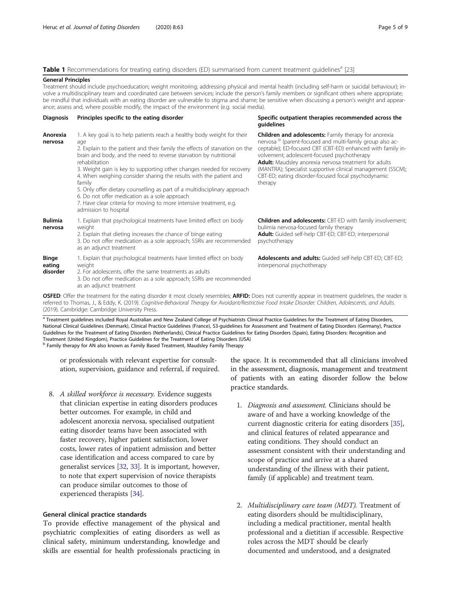#### <span id="page-4-0"></span>Table 1 Recommendations for treating eating disorders (ED) summarised from current treatment guidelines<sup>a</sup> [[23](#page-7-0)]

#### General Principles

Treatment should include psychoeducation; weight monitoring; addressing physical and mental health (including self-harm or suicidal behaviour); involve a multidisciplinary team and coordinated care between services; include the person's family members or significant others where appropriate; be mindful that individuals with an eating disorder are vulnerable to stigma and shame; be sensitive when discussing a person's weight and appearance; assess and, where possible modify, the impact of the environment (e.g. social media).

| <b>Diagnosis</b>                   | Principles specific to the eating disorder                                                                                                                                                                                                                                                                                                                                                                                                                                                                                                                                                                                                  | Specific outpatient therapies recommended across the<br>quidelines                                                                                                                                                                                                                                                                                                                                                                           |
|------------------------------------|---------------------------------------------------------------------------------------------------------------------------------------------------------------------------------------------------------------------------------------------------------------------------------------------------------------------------------------------------------------------------------------------------------------------------------------------------------------------------------------------------------------------------------------------------------------------------------------------------------------------------------------------|----------------------------------------------------------------------------------------------------------------------------------------------------------------------------------------------------------------------------------------------------------------------------------------------------------------------------------------------------------------------------------------------------------------------------------------------|
| Anorexia<br>nervosa                | 1. A key goal is to help patients reach a healthy body weight for their<br>age<br>2. Explain to the patient and their family the effects of starvation on the<br>brain and body, and the need to reverse starvation by nutritional<br>rehabilitation<br>3. Weight gain is key to supporting other changes needed for recovery<br>4. When weighing consider sharing the results with the patient and<br>family<br>5. Only offer dietary counselling as part of a multidisciplinary approach<br>6. Do not offer medication as a sole approach<br>7. Have clear criteria for moving to more intensive treatment, e.g.<br>admission to hospital | <b>Children and adolescents:</b> Family therapy for anorexia<br>nervosa <sup>b</sup> (parent-focused and multi-family group also ac-<br>ceptable); ED-focused CBT (CBT-ED) enhanced with family in-<br>volvement; adolescent-focused psychotherapy<br>Adult: Maudsley anorexia nervosa treatment for adults<br>(MANTRA); Specialist supportive clinical management (SSCM);<br>CBT-ED; eating disorder-focused focal psychodynamic<br>therapy |
| <b>Bulimia</b><br>nervosa          | 1. Explain that psychological treatments have limited effect on body<br>weight<br>2. Explain that dieting increases the chance of binge eating<br>3. Do not offer medication as a sole approach; SSRIs are recommended<br>as an adjunct treatment                                                                                                                                                                                                                                                                                                                                                                                           | <b>Children and adolescents:</b> CBT-ED with family involvement;<br>bulimia nervosa-focused family therapy<br>Adult: Guided self-help CBT-ED; CBT-ED; interpersonal<br>psychotherapy                                                                                                                                                                                                                                                         |
| <b>Binge</b><br>eating<br>disorder | 1. Explain that psychological treatments have limited effect on body<br>weight<br>2. For adolescents, offer the same treatments as adults<br>3. Do not offer medication as a sole approach; SSRIs are recommended<br>as an adjunct treatment                                                                                                                                                                                                                                                                                                                                                                                                | <b>Adolescents and adults:</b> Guided self-help CBT-ED; CBT-ED;<br>interpersonal psychotherapy                                                                                                                                                                                                                                                                                                                                               |

OSFED: Offer the treatment for the eating disorder it most closely resembles; ARFID: Does not currently appear in treatment guidelines, the reader is referred to Thomas, J., & Eddy, K. (2019). Cognitive-Behavioral Therapy for Avoidant/Restrictive Food Intake Disorder: Children, Adolescents, and Adults. (2019). Cambridge: Cambridge University Press.

a Treatment quidelines included Royal Australian and New Zealand College of Psychiatrists Clinical Practice Guidelines for the Treatment of Eating Disorders, National Clinical Guidelines (Denmark), Clinical Practice Guidelines (France), S3-guidelines for Assessment and Treatment of Eating Disorders (Germany), Practice Guidelines for the Treatment of Eating Disorders (Netherlands), Clinical Practice Guidelines for Eating Disorders (Spain), Eating Disorders: Recognition and Treatment (United Kingdom), Practice Guidelines for the Treatment of Eating Disorders (USA) <sup>b</sup> Family therapy for AN also known as Family Based Treatment, Maudsley Family Therapy

or professionals with relevant expertise for consultation, supervision, guidance and referral, if required.

8. A skilled workforce is necessary. Evidence suggests that clinician expertise in eating disorders produces better outcomes. For example, in child and adolescent anorexia nervosa, specialised outpatient eating disorder teams have been associated with faster recovery, higher patient satisfaction, lower costs, lower rates of inpatient admission and better case identification and access compared to care by generalist services [[32](#page-7-0), [33\]](#page-7-0). It is important, however, to note that expert supervision of novice therapists can produce similar outcomes to those of experienced therapists [\[34\]](#page-7-0).

#### General clinical practice standards

To provide effective management of the physical and psychiatric complexities of eating disorders as well as clinical safety, minimum understanding, knowledge and skills are essential for health professionals practicing in

the space. It is recommended that all clinicians involved in the assessment, diagnosis, management and treatment of patients with an eating disorder follow the below practice standards.

- 1. Diagnosis and assessment. Clinicians should be aware of and have a working knowledge of the current diagnostic criteria for eating disorders [\[35\]](#page-7-0), and clinical features of related appearance and eating conditions. They should conduct an assessment consistent with their understanding and scope of practice and arrive at a shared understanding of the illness with their patient, family (if applicable) and treatment team.
- 2. Multidisciplinary care team (MDT). Treatment of eating disorders should be multidisciplinary, including a medical practitioner, mental health professional and a dietitian if accessible. Respective roles across the MDT should be clearly documented and understood, and a designated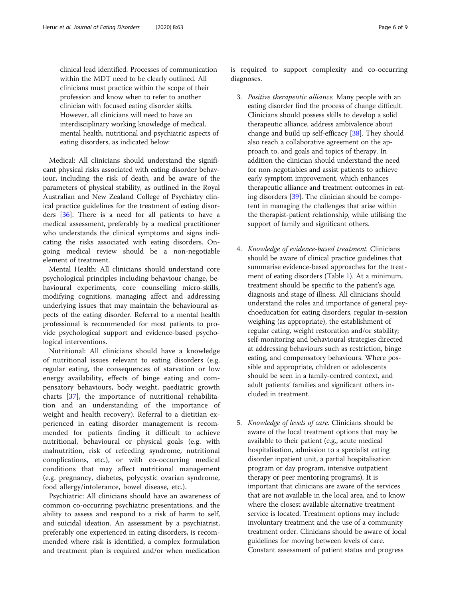clinical lead identified. Processes of communication within the MDT need to be clearly outlined. All clinicians must practice within the scope of their profession and know when to refer to another clinician with focused eating disorder skills. However, all clinicians will need to have an interdisciplinary working knowledge of medical, mental health, nutritional and psychiatric aspects of eating disorders, as indicated below:

Medical: All clinicians should understand the significant physical risks associated with eating disorder behaviour, including the risk of death, and be aware of the parameters of physical stability, as outlined in the Royal Australian and New Zealand College of Psychiatry clinical practice guidelines for the treatment of eating disorders [\[36](#page-7-0)]. There is a need for all patients to have a medical assessment, preferably by a medical practitioner who understands the clinical symptoms and signs indicating the risks associated with eating disorders. Ongoing medical review should be a non-negotiable element of treatment.

Mental Health: All clinicians should understand core psychological principles including behaviour change, behavioural experiments, core counselling micro-skills, modifying cognitions, managing affect and addressing underlying issues that may maintain the behavioural aspects of the eating disorder. Referral to a mental health professional is recommended for most patients to provide psychological support and evidence-based psychological interventions.

Nutritional: All clinicians should have a knowledge of nutritional issues relevant to eating disorders (e.g. regular eating, the consequences of starvation or low energy availability, effects of binge eating and compensatory behaviours, body weight, paediatric growth charts [[37\]](#page-7-0), the importance of nutritional rehabilitation and an understanding of the importance of weight and health recovery). Referral to a dietitian experienced in eating disorder management is recommended for patients finding it difficult to achieve nutritional, behavioural or physical goals (e.g. with malnutrition, risk of refeeding syndrome, nutritional complications, etc.), or with co-occurring medical conditions that may affect nutritional management (e.g. pregnancy, diabetes, polycystic ovarian syndrome, food allergy/intolerance, bowel disease, etc.).

Psychiatric: All clinicians should have an awareness of common co-occurring psychiatric presentations, and the ability to assess and respond to a risk of harm to self, and suicidal ideation. An assessment by a psychiatrist, preferably one experienced in eating disorders, is recommended where risk is identified, a complex formulation and treatment plan is required and/or when medication

is required to support complexity and co-occurring diagnoses.

- 3. Positive therapeutic alliance. Many people with an eating disorder find the process of change difficult. Clinicians should possess skills to develop a solid therapeutic alliance, address ambivalence about change and build up self-efficacy [\[38\]](#page-7-0). They should also reach a collaborative agreement on the approach to, and goals and topics of therapy. In addition the clinician should understand the need for non-negotiables and assist patients to achieve early symptom improvement, which enhances therapeutic alliance and treatment outcomes in eating disorders [\[39](#page-7-0)]. The clinician should be competent in managing the challenges that arise within the therapist-patient relationship, while utilising the support of family and significant others.
- 4. Knowledge of evidence-based treatment. Clinicians should be aware of clinical practice guidelines that summarise evidence-based approaches for the treatment of eating disorders (Table [1\)](#page-4-0). At a minimum, treatment should be specific to the patient's age, diagnosis and stage of illness. All clinicians should understand the roles and importance of general psychoeducation for eating disorders, regular in-session weighing (as appropriate), the establishment of regular eating, weight restoration and/or stability; self-monitoring and behavioural strategies directed at addressing behaviours such as restriction, binge eating, and compensatory behaviours. Where possible and appropriate, children or adolescents should be seen in a family-centred context, and adult patients' families and significant others included in treatment.
- 5. Knowledge of levels of care. Clinicians should be aware of the local treatment options that may be available to their patient (e.g., acute medical hospitalisation, admission to a specialist eating disorder inpatient unit, a partial hospitalisation program or day program, intensive outpatient therapy or peer mentoring programs). It is important that clinicians are aware of the services that are not available in the local area, and to know where the closest available alternative treatment service is located. Treatment options may include involuntary treatment and the use of a community treatment order. Clinicians should be aware of local guidelines for moving between levels of care. Constant assessment of patient status and progress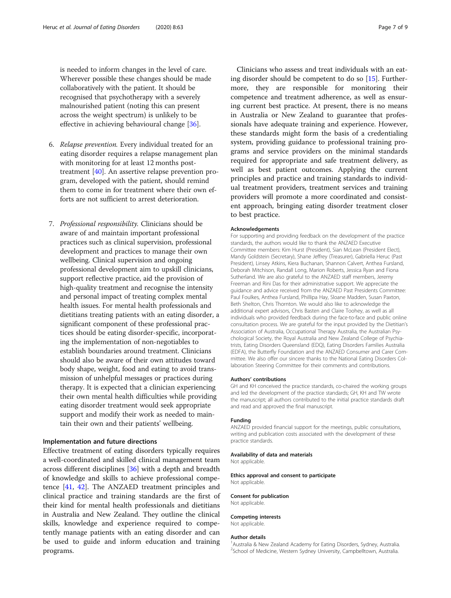is needed to inform changes in the level of care. Wherever possible these changes should be made collaboratively with the patient. It should be recognised that psychotherapy with a severely malnourished patient (noting this can present across the weight spectrum) is unlikely to be effective in achieving behavioural change [\[36\]](#page-7-0).

- 6. Relapse prevention. Every individual treated for an eating disorder requires a relapse management plan with monitoring for at least 12 months posttreatment [[40](#page-8-0)]. An assertive relapse prevention program, developed with the patient, should remind them to come in for treatment where their own efforts are not sufficient to arrest deterioration.
- 7. Professional responsibility. Clinicians should be aware of and maintain important professional practices such as clinical supervision, professional development and practices to manage their own wellbeing. Clinical supervision and ongoing professional development aim to upskill clinicians, support reflective practice, aid the provision of high-quality treatment and recognise the intensity and personal impact of treating complex mental health issues. For mental health professionals and dietitians treating patients with an eating disorder, a significant component of these professional practices should be eating disorder-specific, incorporating the implementation of non-negotiables to establish boundaries around treatment. Clinicians should also be aware of their own attitudes toward body shape, weight, food and eating to avoid transmission of unhelpful messages or practices during therapy. It is expected that a clinician experiencing their own mental health difficulties while providing eating disorder treatment would seek appropriate support and modify their work as needed to maintain their own and their patients' wellbeing.

#### Implementation and future directions

Effective treatment of eating disorders typically requires a well-coordinated and skilled clinical management team across different disciplines [[36\]](#page-7-0) with a depth and breadth of knowledge and skills to achieve professional competence [[41,](#page-8-0) [42](#page-8-0)]. The ANZAED treatment principles and clinical practice and training standards are the first of their kind for mental health professionals and dietitians in Australia and New Zealand. They outline the clinical skills, knowledge and experience required to competently manage patients with an eating disorder and can be used to guide and inform education and training programs.

Clinicians who assess and treat individuals with an eating disorder should be competent to do so [\[15\]](#page-7-0). Furthermore, they are responsible for monitoring their competence and treatment adherence, as well as ensuring current best practice. At present, there is no means in Australia or New Zealand to guarantee that professionals have adequate training and experience. However, these standards might form the basis of a credentialing system, providing guidance to professional training programs and service providers on the minimal standards required for appropriate and safe treatment delivery, as well as best patient outcomes. Applying the current principles and practice and training standards to individual treatment providers, treatment services and training providers will promote a more coordinated and consistent approach, bringing eating disorder treatment closer to best practice.

#### Acknowledgements

For supporting and providing feedback on the development of the practice standards, the authors would like to thank the ANZAED Executive Committee members: Kim Hurst (President), Sian McLean (President Elect), Mandy Goldstein (Secretary), Shane Jeffrey (Treasurer), Gabriella Heruc (Past President), Linsey Atkins, Kiera Buchanan, Shannon Calvert, Anthea Fursland, Deborah Mitchison, Randall Long, Marion Roberts, Jessica Ryan and Fiona Sutherland. We are also grateful to the ANZAED staff members, Jeremy Freeman and Rini Das for their administrative support. We appreciate the guidance and advice received from the ANZAED Past Presidents Committee: Paul Foulkes, Anthea Fursland, Phillipa Hay, Sloane Madden, Susan Paxton, Beth Shelton, Chris Thornton. We would also like to acknowledge the additional expert advisors, Chris Basten and Claire Toohey, as well as all individuals who provided feedback during the face-to-face and public online consultation process. We are grateful for the input provided by the Dietitian's Association of Australia, Occupational Therapy Australia, the Australian Psychological Society, the Royal Australia and New Zealand College of Psychiatrists, Eating Disorders Queensland (EDQ), Eating Disorders Families Australia (EDFA), the Butterfly Foundation and the ANZAED Consumer and Carer Committee. We also offer our sincere thanks to the National Eating Disorders Collaboration Steering Committee for their comments and contributions.

#### Authors' contributions

GH and KH conceived the practice standards, co-chaired the working groups and led the development of the practice standards; GH, KH and TW wrote the manuscript; all authors contributed to the initial practice standards draft and read and approved the final manuscript.

#### Funding

ANZAED provided financial support for the meetings, public consultations, writing and publication costs associated with the development of these practice standards.

#### Availability of data and materials

Not applicable.

Ethics approval and consent to participate Not applicable.

Consent for publication

Not applicable.

#### Competing interests

Not applicable.

#### Author details

<sup>1</sup> Australia & New Zealand Academy for Eating Disorders, Sydney, Australia <sup>2</sup>School of Medicine, Western Sydney University, Campbelltown, Australia.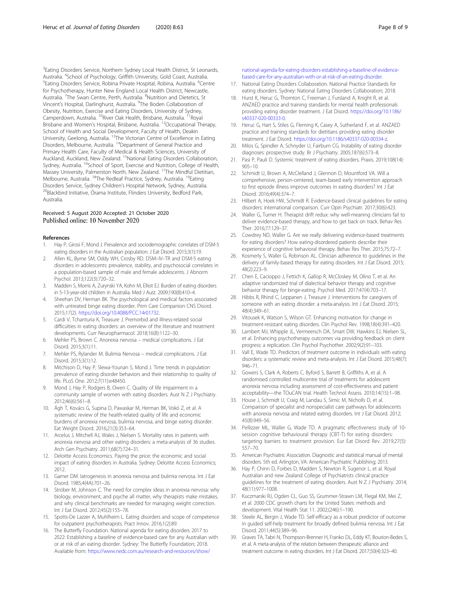<span id="page-7-0"></span><sup>3</sup>Eating Disorders Service, Northern Sydney Local Health District, St Leonards, Australia. <sup>4</sup>School of Psychology, Griffith University, Gold Coast, Australia.<br><sup>5</sup>Eating Disorders Senvice Bobina Private Hospital Bobina. Australia. <sup>6</sup>Cer Eating Disorders Service, Robina Private Hospital, Robina, Australia. <sup>6</sup>Centre for Psychotherapy, Hunter New England Local Health District, Newcastle, Australia. <sup>7</sup>The Swan Centre, Perth, Australia. <sup>8</sup>Nutrition and Dietetics, St Vincent's Hospital, Darlinghurst, Australia. <sup>9</sup>The Boden Collaboration of Obesity, Nutrition, Exercise and Eating Disorders, University of Sydney, Camperdown, Australia. <sup>10</sup>River Oak Health, Brisbane, Australia. <sup>11</sup>Royal Brisbane and Women's Hospital, Brisbane, Australia. <sup>12</sup>Occupational Therapy, School of Health and Social Development, Faculty of Health, Deakin University, Geelong, Australia. 13The Victorian Centre of Excellence in Eating Disorders, Melbourne, Australia. 14Department of General Practice and Primary Health Care, Faculty of Medical & Health Sciences, University of Auckland, Auckland, New Zealand. <sup>15</sup>National Eating Disorders Collaboration, Sydney, Australia. <sup>16</sup>School of Sport, Exercise and Nutrition, College of Health, Massey University, Palmerston North, New Zealand. 17The Mindful Dietitian, Melbourne, Australia. <sup>18</sup>The Redleaf Practice, Sydney, Australia. <sup>19</sup>Eating<br>Disorders Service, Sydney Children's Hospital Network, Sydney, Australia. <sup>20</sup>Blackbird Initiative, Órama Institute, Flinders University, Bedford Park, Australia.

#### Received: 5 August 2020 Accepted: 21 October 2020 Published online: 10 November 2020

#### References

- 1. Hay P, Girosi F, Mond J. Prevalence and sociodemographic correlates of DSM-5 eating disorders in the Australian population. J Eat Disord. 2015;3(1):19.
- 2. Allen KL, Byrne SM, Oddy WH, Crosby RD. DSM–IV–TR and DSM-5 eating disorders in adolescents: prevalence, stability, and psychosocial correlates in a population-based sample of male and female adolescents. J Abnorm Psychol. 2013;122(3):720–32.
- 3. Madden S, Morris A, Zurynski YA, Kohn M, Elliot EJ. Burden of eating disorders in 5-13-year-old children in Australia. Med J Aust. 2009;190(8):410–4.
- 4. Sheehan DV, Herman BK. The psychological and medical factors associated with untreated binge eating disorder. Prim Care Companion CNS Disord. 2015;17(2). [https://doi.org/10.4088/PCC.14r01732.](https://doi.org/10.4088/PCC.14r01732)
- 5. Cardi V, Tchanturia K, Treasure J. Premorbid and illness-related social difficulties in eating disorders: an overview of the literature and treatment developments. Curr Neuropharmacol. 2018;16(8):1122–30.
- 6. Mehler PS, Brown C. Anorexia nervosa medical complications. J Eat Disord. 2015;3(1):11.
- 7. Mehler PS, Rylander M. Bulimia Nervosa medical complications. J Eat Disord. 2015;3(1):12.
- 8. Mitchison D, Hay P, Slewa-Younan S, Mond J. Time trends in population prevalence of eating disorder behaviors and their relationship to quality of life. PLoS One. 2012;7(11):e48450.
- Mond J, Hay P, Rodgers B, Owen C. Quality of life impairment in a community sample of women with eating disorders. Aust N Z J Psychiatry. 2012;46(6):561–8.
- 10. Ágh T, Kovács G, Supina D, Pawaskar M, Herman BK, Vokó Z, et al. A systematic review of the health-related quality of life and economic burdens of anorexia nervosa, bulimia nervosa, and binge eating disorder. Eat Weight Disord. 2016;21(3):353–64.
- 11. Arcelus J, Mitchell AJ, Wales J, Nielsen S. Mortality rates in patients with anorexia nervosa and other eating disorders: a meta-analysis of 36 studies. Arch Gen Psychiatry. 2011;68(7):724–31.
- 12. Deloitte Access Economics. Paying the price: the economic and social impact of eating disorders in Australia. Sydney: Deloitte Access Economics; 2012.
- 13. Garner DM. latrogenesis in anorexia nervosa and bulimia nervosa. Int J Eat Disord. 1985;4(4A):701–26.
- 14. Strober M, Johnson C. The need for complex ideas in anorexia nervosa: why biology, environment, and psyche all matter, why therapists make mistakes, and why clinical benchmarks are needed for managing weight correction. Int J Eat Disord. 2012;45(2):155–78.
- 15. Spotts-De Lazzer A, Muhlheim L. Eating disorders and scope of competence for outpatient psychotherapists. Pract Innov. 2016;1(2):89.
- 16. The Butterfly Foundation. National agenda for eating disorders 2017 to 2022: Establishing a baseline of evidence-based care for any Australian with or at risk of an eating disorder. Sydney: The Butterfly Foundation; 2018. Available from: [https://www.nedc.com.au/research-and-resources/show/](https://www.nedc.com.au/research-and-resources/show/national-agenda-for-eating-disorders-establishing-a-baseline-of-evidence-based-care-for-any-australian-with-or-at-risk-of-an-eating-disorder)

[national-agenda-for-eating-disorders-establishing-a-baseline-of-evidence](https://www.nedc.com.au/research-and-resources/show/national-agenda-for-eating-disorders-establishing-a-baseline-of-evidence-based-care-for-any-australian-with-or-at-risk-of-an-eating-disorder)[based-care-for-any-australian-with-or-at-risk-of-an-eating-disorder.](https://www.nedc.com.au/research-and-resources/show/national-agenda-for-eating-disorders-establishing-a-baseline-of-evidence-based-care-for-any-australian-with-or-at-risk-of-an-eating-disorder)

- 17. National Eating Disorders Collaboration. National Practice Standards for eating disorders. Sydney: National Eating Disorders Collaboration; 2018.
- 18. Hurst K, Heruc G, Thornton C, Freeman J, Fursland A, Knight R, et al. ANZAED practice and training standards for mental health professionals providing eating disorder treatment. J Eat Disord. [https://doi.org/10.1186/](https://doi.org/10.1186/s40337-020-00333-0)  $540337-020-00333-0$
- 19. Heruc G, Hart S, Stiles G, Fleming K, Casey A, Sutherland F, et al. ANZAED practice and training standards for dietitians providing eating disorder treatment. J Eat Disord. <https://doi.org/10.1186/s40337-020-00334-z>.
- 20. Milos G, Spindler A, Schnyder U, Fairburn CG. Instability of eating disorder diagnoses: prospective study. Br J Psychiatry. 2005;187(6):573–8.
- 21. Pasi P, Pauli D. Systemic treatment of eating disorders. Praxis. 2019;108(14): 905–10.
- 22. Schmidt U, Brown A, McClelland J, Glennon D, Mountford VA. Will a comprehensive, person-centered, team-based early intervention approach to first episode illness improve outcomes in eating disorders? Int J Eat Disord. 2016;49(4):374–7.
- 23. Hilbert A, Hoek HW, Schmidt R. Evidence-based clinical guidelines for eating disorders: international comparison. Curr Opin Psychiatr. 2017;30(6):423.
- 24. Waller G, Turner H. Therapist drift redux: why well-meaning clinicians fail to deliver evidence-based therapy, and how to get back on track. Behav Res Ther. 2016;77:129–37.
- 25. Cowdrey ND, Waller G. Are we really delivering evidence-based treatments for eating disorders? How eating-disordered patients describe their experience of cognitive behavioral therapy. Behav Res Ther. 2015;75:72–7.
- 26. Kosmerly S, Waller G, Robinson AL. Clinician adherence to guidelines in the delivery of family-based therapy for eating disorders. Int J Eat Disord. 2015; 48(2):223–9.
- 27. Chen E, Cacioppo J, Fettich K, Gallop R, McCloskey M, Olino T, et al. An adaptive randomized trial of dialectical behavior therapy and cognitive behavior therapy for binge-eating. Psychol Med. 2017;47(4):703–17.
- 28. Hibbs R, Rhind C, Leppanen J, Treasure J. Interventions for caregivers of someone with an eating disorder: a meta-analysis. Int J Eat Disord. 2015; 48(4):349–61.
- 29. Vitousek K, Watson S, Wilson GT. Enhancing motivation for change in treatment-resistant eating disorders. Clin Psychol Rev. 1998;18(4):391–420.
- 30. Lambert MJ, Whipple JL, Vermeersch DA, Smart DW, Hawkins EJ, Nielsen SL, et al. Enhancing psychotherapy outcomes via providing feedback on client progress: a replication. Clin Psychol Psychother. 2002;9(2):91–103.
- 31. Vall E, Wade TD. Predictors of treatment outcome in individuals with eating disorders: a systematic review and meta-analysis. Int J Eat Disord. 2015;48(7): 946–71.
- 32. Gowers S, Clark A, Roberts C, Byford S, Barrett B, Griffiths A, et al. A randomised controlled multicentre trial of treatments for adolescent anorexia nervosa including assessment of cost-effectiveness and patient acceptability—the TOuCAN trial. Health Technol Assess. 2010;14(15):1–98.
- 33. House J, Schmidt U, Craig M, Landau S, Simic M, Nicholls D, et al. Comparison of specialist and nonspecialist care pathways for adolescents with anorexia nervosa and related eating disorders. Int J Eat Disord. 2012; 45(8):949–56.
- 34. Pellizzer ML, Waller G, Wade TD. A pragmatic effectiveness study of 10 session cognitive behavioural therapy (CBT-T) for eating disorders: targeting barriers to treatment provision. Eur Eat Disord Rev. 2019;27(5): 557–70.
- 35. American Psychiatric Association. Diagnostic and statistical manual of mental disorders. 5th ed. Arlington, VA: American Psychiatric Publishing; 2013.
- 36. Hay P, Chinn D, Forbes D, Madden S, Newton R, Sugenor L, et al. Royal Australian and new Zealand College of Psychiatrists clinical practice guidelines for the treatment of eating disorders. Aust N Z J Psychiatry. 2014; 48(11):977–1008.
- 37. Kuczmarski RJ, Ogden CL, Guo SS, Grummer-Strawn LM, Flegal KM, Mei Z, et al. 2000 CDC growth charts for the United States: methods and development. Vital Health Stat 11. 2002;(246):1–190.
- 38. Steele AL, Bergin J, Wade TD. Self-efficacy as a robust predictor of outcome in guided self-help treatment for broadly defined bulimia nervosa. Int J Eat Disord. 2011;44(5):389–96.
- 39. Graves TA, Tabri N, Thompson-Brenner H, Franko DL, Eddy KT, Bourion-Bedes S, et al. A meta-analysis of the relation between therapeutic alliance and treatment outcome in eating disorders. Int J Eat Disord. 2017;50(4):323–40.